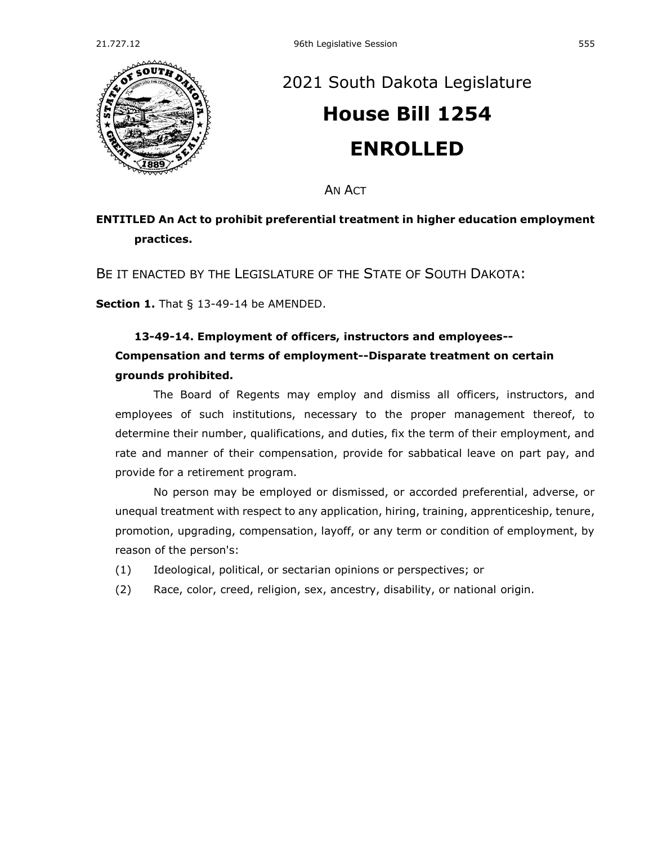

## [2021 South Dakota Legislature](https://sdlegislature.gov/Session/Bills/44) **[House Bill 1254](https://sdlegislature.gov/Session/Bill/22447) ENROLLED**

AN ACT

## **ENTITLED An Act to prohibit preferential treatment in higher education employment practices.**

BE IT ENACTED BY THE LEGISLATURE OF THE STATE OF SOUTH DAKOTA:

**Section 1.** [That § 13-49-14 be AMENDED.](https://sdlegislature.gov/Statutes/Codified_Laws/2042650)

## **[13-49-14. E](https://sdlegislature.gov/Statutes/Codified_Laws/DisplayStatute.aspx?Type=Statute&Statute=13-49-14)mployment of officers, instructors and employees-- Compensation and terms of employment--Disparate treatment on certain**

## **grounds prohibited.**

The Board of Regents may employ and dismiss all officers, instructors, and employees of such institutions, necessary to the proper management thereof, to determine their number, qualifications, and duties, fix the term of their employment, and rate and manner of their compensation, provide for sabbatical leave on part pay, and provide for a retirement program.

No person may be employed or dismissed, or accorded preferential, adverse, or unequal treatment with respect to any application, hiring, training, apprenticeship, tenure, promotion, upgrading, compensation, layoff, or any term or condition of employment, by reason of the person's:

- (1) Ideological, political, or sectarian opinions or perspectives; or
- (2) Race, color, creed, religion, sex, ancestry, disability, or national origin.